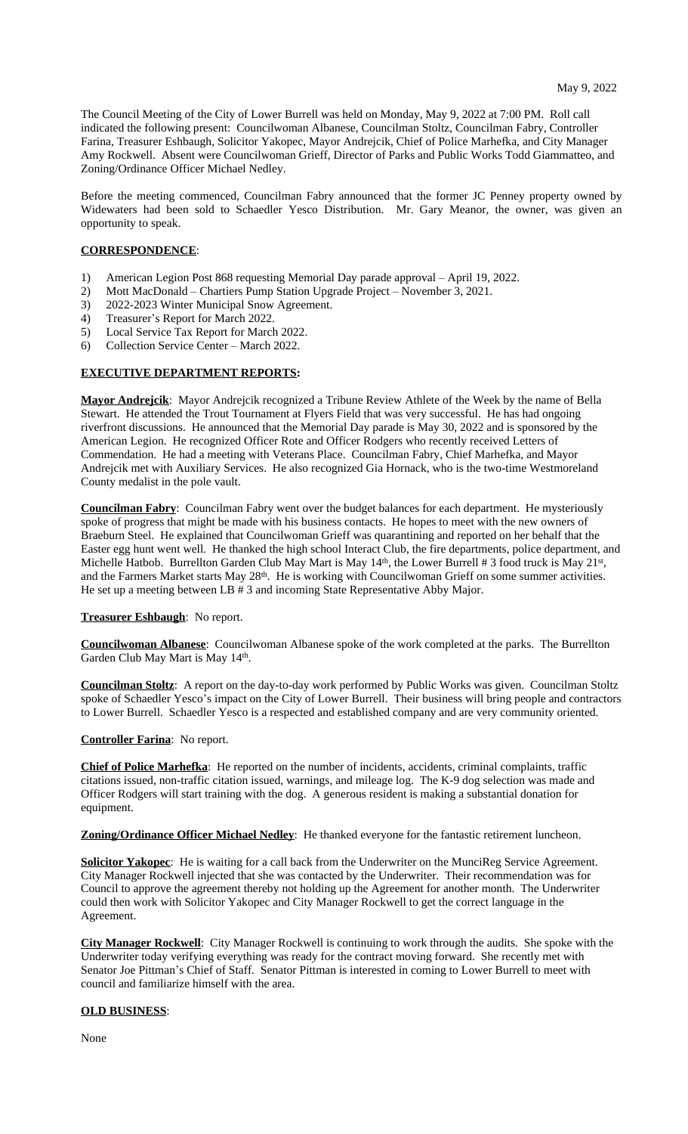The Council Meeting of the City of Lower Burrell was held on Monday, May 9, 2022 at 7:00 PM. Roll call indicated the following present: Councilwoman Albanese, Councilman Stoltz, Councilman Fabry, Controller Farina, Treasurer Eshbaugh, Solicitor Yakopec, Mayor Andrejcik, Chief of Police Marhefka, and City Manager Amy Rockwell. Absent were Councilwoman Grieff, Director of Parks and Public Works Todd Giammatteo, and Zoning/Ordinance Officer Michael Nedley.

Before the meeting commenced, Councilman Fabry announced that the former JC Penney property owned by Widewaters had been sold to Schaedler Yesco Distribution. Mr. Gary Meanor, the owner, was given an opportunity to speak.

### **CORRESPONDENCE**:

- 1) American Legion Post 868 requesting Memorial Day parade approval April 19, 2022.
- 2) Mott MacDonald Chartiers Pump Station Upgrade Project November 3, 2021.
- 3) 2022-2023 Winter Municipal Snow Agreement.<br>4) Treasurer's Report for March 2022.
- 4) Treasurer's Report for March 2022.
- 5) Local Service Tax Report for March 2022.
- 6) Collection Service Center March 2022.

## **EXECUTIVE DEPARTMENT REPORTS:**

**Mayor Andrejcik**: Mayor Andrejcik recognized a Tribune Review Athlete of the Week by the name of Bella Stewart. He attended the Trout Tournament at Flyers Field that was very successful. He has had ongoing riverfront discussions. He announced that the Memorial Day parade is May 30, 2022 and is sponsored by the American Legion. He recognized Officer Rote and Officer Rodgers who recently received Letters of Commendation. He had a meeting with Veterans Place. Councilman Fabry, Chief Marhefka, and Mayor Andrejcik met with Auxiliary Services. He also recognized Gia Hornack, who is the two-time Westmoreland County medalist in the pole vault.

**Councilman Fabry**: Councilman Fabry went over the budget balances for each department. He mysteriously spoke of progress that might be made with his business contacts. He hopes to meet with the new owners of Braeburn Steel. He explained that Councilwoman Grieff was quarantining and reported on her behalf that the Easter egg hunt went well. He thanked the high school Interact Club, the fire departments, police department, and Michelle Hatbob. Burrellton Garden Club May Mart is May 14<sup>th</sup>, the Lower Burrell #3 food truck is May 21<sup>st</sup>, and the Farmers Market starts May 28<sup>th</sup>. He is working with Councilwoman Grieff on some summer activities. He set up a meeting between LB # 3 and incoming State Representative Abby Major.

## **Treasurer Eshbaugh**: No report.

**Councilwoman Albanese**: Councilwoman Albanese spoke of the work completed at the parks. The Burrellton Garden Club May Mart is May 14<sup>th</sup>.

**Councilman Stoltz**: A report on the day-to-day work performed by Public Works was given. Councilman Stoltz spoke of Schaedler Yesco's impact on the City of Lower Burrell. Their business will bring people and contractors to Lower Burrell. Schaedler Yesco is a respected and established company and are very community oriented.

#### **Controller Farina**: No report.

**Chief of Police Marhefka**: He reported on the number of incidents, accidents, criminal complaints, traffic citations issued, non-traffic citation issued, warnings, and mileage log. The K-9 dog selection was made and Officer Rodgers will start training with the dog. A generous resident is making a substantial donation for equipment.

**Zoning/Ordinance Officer Michael Nedley**: He thanked everyone for the fantastic retirement luncheon.

**Solicitor Yakopec**: He is waiting for a call back from the Underwriter on the MunciReg Service Agreement. City Manager Rockwell injected that she was contacted by the Underwriter. Their recommendation was for Council to approve the agreement thereby not holding up the Agreement for another month. The Underwriter could then work with Solicitor Yakopec and City Manager Rockwell to get the correct language in the Agreement.

**City Manager Rockwell**: City Manager Rockwell is continuing to work through the audits. She spoke with the Underwriter today verifying everything was ready for the contract moving forward. She recently met with Senator Joe Pittman's Chief of Staff. Senator Pittman is interested in coming to Lower Burrell to meet with council and familiarize himself with the area.

#### **OLD BUSINESS**:

None